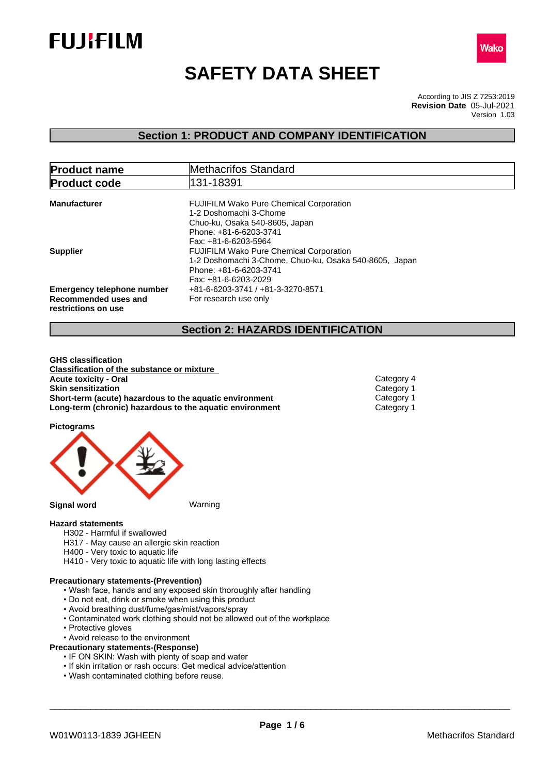



# **SAFETY DATA SHEET**

According to JIS Z 7253:2019 Version 1.03 **Revision Date** 05-Jul-2021

# **Section 1: PRODUCT AND COMPANY IDENTIFICATION**

| <b>Product name</b>                                                              | Methacrifos Standard                                                                                                                                         |
|----------------------------------------------------------------------------------|--------------------------------------------------------------------------------------------------------------------------------------------------------------|
| <b>Product code</b>                                                              | 131-18391                                                                                                                                                    |
| <b>Manufacturer</b>                                                              | <b>FUJIFILM Wako Pure Chemical Corporation</b><br>1-2 Doshomachi 3-Chome<br>Chuo-ku, Osaka 540-8605, Japan<br>Phone: +81-6-6203-3741<br>Fax: +81-6-6203-5964 |
| <b>Supplier</b>                                                                  | <b>FUJIFILM Wako Pure Chemical Corporation</b><br>1-2 Doshomachi 3-Chome, Chuo-ku, Osaka 540-8605, Japan<br>Phone: +81-6-6203-3741<br>Fax: +81-6-6203-2029   |
| <b>Emergency telephone number</b><br>Recommended uses and<br>restrictions on use | +81-6-6203-3741 / +81-3-3270-8571<br>For research use only                                                                                                   |

# **Section 2: HAZARDS IDENTIFICATION**

**GHS classification Classification of the substance or mixture Acute toxicity - Oral** Category 4 **Skin sensitization**<br> **Short-term (acute) hazardous to the aquatic environment** Category 1 **Short-term (acute) hazardous to the aquatic environment** Category 1<br> **Long-term (chronic) hazardous to the aquatic environment** Category 1 **Long-term (chronic) hazardous to the aquatic environment** 

**Pictograms**



# **Hazard statements**

- H302 Harmful if swallowed
- H317 May cause an allergic skin reaction
- H400 Very toxic to aquatic life
- H410 Very toxic to aquatic life with long lasting effects

## **Precautionary statements-(Prevention)**

- Wash face, hands and any exposed skin thoroughly after handling
- Do not eat, drink or smoke when using this product
- Avoid breathing dust/fume/gas/mist/vapors/spray
- Contaminated work clothing should not be allowed out of the workplace
- Protective gloves
- Avoid release to the environment

# **Precautionary statements-(Response)**

- IF ON SKIN: Wash with plenty of soap and water
- If skin irritation or rash occurs: Get medical advice/attention
- Wash contaminated clothing before reuse.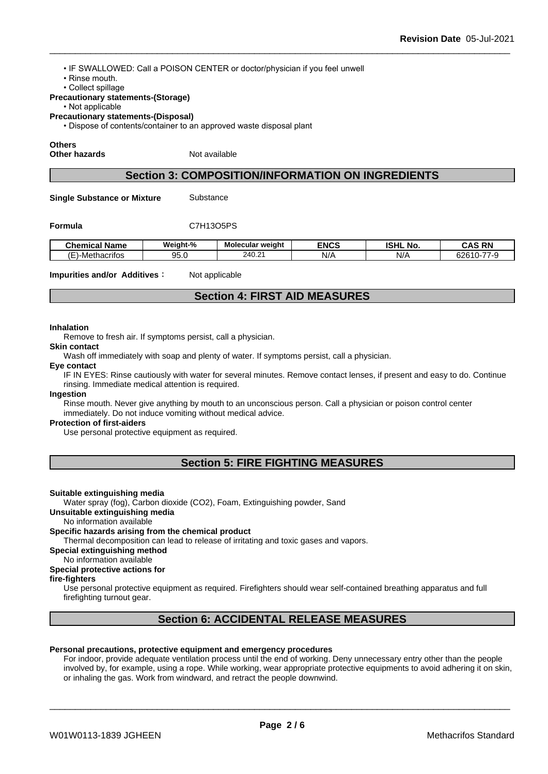• IF SWALLOWED: Call a POISON CENTER or doctor/physician if you feel unwell

- Rinse mouth.
- Collect spillage

## **Precautionary statements-(Storage)**

#### • Not applicable

**Precautionary statements-(Disposal)**

• Dispose of contents/container to an approved waste disposal plant

# **Others**

**Other hazards** Not available

# **Section 3: COMPOSITION/INFORMATION ON INGREDIENTS**

**Single Substance or Mixture** Substance

#### **Formula** C7H13O5PS

| <b>Chemical</b><br>$\sim$<br>Name        | Weight-%  | <b>Molecular weight</b> | <b>ENCS</b> | <b>ISHL</b><br>. .<br>No. | <b>RN</b><br>$\sim$<br>. : Д'             |
|------------------------------------------|-----------|-------------------------|-------------|---------------------------|-------------------------------------------|
| $^{\prime}$ $\Box$<br>)-Methacritos<br>. | ΩE<br>いいい | 240<br>c.<br>.40.Z      | N/A         | N/                        | $- -$<br>$\sim$<br>$\sim$<br>ס∠כ<br>7 – V |

**Impurities and/or Additives:** Not applicable

# **Section 4: FIRST AID MEASURES**

#### **Inhalation**

Remove to fresh air. If symptoms persist, call a physician.

**Skin contact**

Wash off immediately with soap and plenty of water. If symptoms persist, call a physician.

#### **Eye contact**

IF IN EYES: Rinse cautiously with water for several minutes. Remove contact lenses, if present and easy to do. Continue rinsing. Immediate medical attention is required.

### **Ingestion**

Rinse mouth. Never give anything by mouth to an unconscious person. Call a physician or poison control center immediately. Do not induce vomiting without medical advice.

### **Protection of first-aiders**

Use personal protective equipment as required.

# **Section 5: FIRE FIGHTING MEASURES**

### **Suitable extinguishing media**

Water spray (fog), Carbon dioxide (CO2), Foam, Extinguishing powder, Sand

**Unsuitable extinguishing media**

No information available

# **Specific hazards arising from the chemical product**

Thermal decomposition can lead to release of irritating and toxic gases and vapors.

**Special extinguishing method**

### No information available

#### **Special protective actions for**

### **fire-fighters**

Use personal protective equipment as required.Firefighters should wear self-contained breathing apparatus and full firefighting turnout gear.

# **Section 6: ACCIDENTAL RELEASE MEASURES**

### **Personal precautions, protective equipment and emergency procedures**

For indoor, provide adequate ventilation process until the end of working. Deny unnecessary entry other than the people involved by, for example, using a rope. While working, wear appropriate protective equipments to avoid adhering it on skin, or inhaling the gas. Work from windward, and retract the people downwind.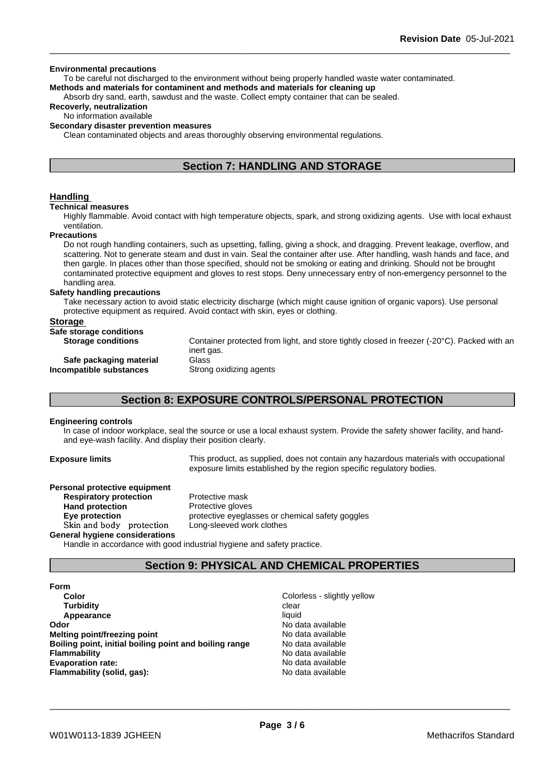#### **Environmental precautions**

To be careful not discharged to the environment without being properly handled waste water contaminated. **Methods and materials for contaminent and methods and materials for cleaning up**

Absorb dry sand, earth, sawdust and the waste. Collect empty container that can be sealed.

# **Recoverly, neutralization**

# No information available

# **Secondary disaster prevention measures**

Clean contaminated objects and areas thoroughly observing environmental regulations.

# **Section 7: HANDLING AND STORAGE**

# **Handling**

#### **Technical measures**

Highly flammable. Avoid contact with high temperature objects, spark, and strong oxidizing agents. Use with local exhaust ventilation.

#### **Precautions**

Do not rough handling containers, such as upsetting, falling, giving a shock, and dragging. Prevent leakage, overflow, and scattering. Not to generate steam and dust in vain. Seal the container after use. After handling, wash hands and face, and then gargle. In places other than those specified, should not be smoking or eating and drinking. Should not be brought contaminated protective equipment and gloves to rest stops. Deny unnecessary entry of non-emergency personnel to the handling area.

# **Safety handling precautions**

Take necessary action to avoid static electricity discharge (which might cause ignition of organic vapors). Use personal protective equipment as required. Avoid contact with skin, eyes or clothing.

#### **Storage**

| Safe storage conditions   |                                                                                             |
|---------------------------|---------------------------------------------------------------------------------------------|
| <b>Storage conditions</b> | Container protected from light, and store tightly closed in freezer (-20°C). Packed with an |
|                           | inert gas.                                                                                  |
| Safe packaging material   | Glass                                                                                       |
| Incompatible substances   | Strong oxidizing agents                                                                     |
|                           |                                                                                             |

# **Section 8: EXPOSURE CONTROLS/PERSONAL PROTECTION**

#### **Engineering controls**

In case of indoor workplace, seal the source or use a local exhaust system. Provide the safety shower facility, and handand eye-wash facility. And display their position clearly.

**Exposure limits** This product, as supplied, does not contain any hazardous materials with occupational exposure limits established by the region specific regulatory bodies.

| Personal protective equipment  |                                                  |
|--------------------------------|--------------------------------------------------|
| <b>Respiratory protection</b>  | Protective mask                                  |
| <b>Hand protection</b>         | Protective gloves                                |
| Eye protection                 | protective eyeglasses or chemical safety goggles |
| Skin and body protection       | Long-sleeved work clothes                        |
| General hygiene considerations |                                                  |

Handle in accordance with good industrial hygiene and safety practice.

# **Section 9: PHYSICAL AND CHEMICAL PROPERTIES**

**Form**

- **Color** Color Color Color Color Color Color Color Color Color Color Color Color Color Color Color Color Color Color Color Color Color Color Color Color Color Color Color Color Color Color Color Color Color Color Color Colo **Turbidity Clear Appearance** liquid **Odor** No data available **Melting point/freezing point No data available** No data available **Boiling point, initial boiling point and boiling range** No data available **Flammability** No data available **Evaporation rate:** No data available **Flammability (solid, gas):** No data available
	-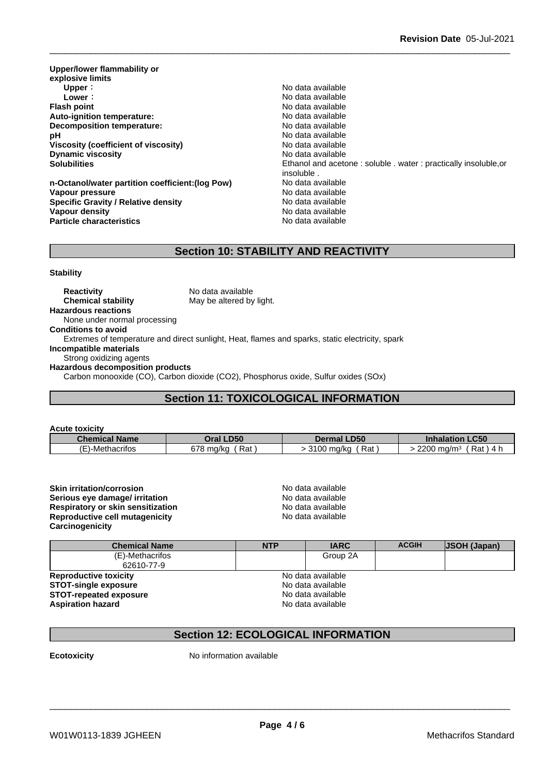**Upper/lower flammability or explosive limits Upper** : the contract of the contract of the contract of the contract of the contract of the contract of the contract of the contract of the contract of the contract of the contract of the contract of the contract of the **Lower** : **Lower** : **Constant Constant Constant Constant Constant Constant Constant Constant Constant Constant Constant Constant Constant Constant Constant Constant Constant Constant Constant Constant Constant Constant Con Auto-ignition temperature: Decomposition temperature:** No data available **pH**  $\blacksquare$  No data available **Viscosity (coefficient of viscosity)** No data available **Dynamic viscosity No data available** 

**n-Octanol/water partition coefficient:(log Pow) No data available** Vapour pressure **No data available** No data available **Specific Gravity / Relative density** No data available **Vapour density No data available Particle characteristics** No data available

**Flash Available**<br>No data available **Solubilities** Ethanol and acetone : soluble . water : practically insoluble,or insoluble .

# **Section 10: STABILITY AND REACTIVITY**

**Stability**

**Reactivity** No data available **Chemical stability** May be altered by light. **Hazardous reactions** None under normal processing **Conditions to avoid** Extremes of temperature and direct sunlight, Heat, flames and sparks, static electricity, spark **Incompatible materials** Strong oxidizing agents **Hazardous decomposition products** Carbon monooxide (CO), Carbon dioxide (CO2), Phosphorus oxide, Sulfur oxides (SOx)

# **Section 11: TOXICOLOGICAL INFORMATION**

| <b>Acute toxicity</b>     |                  |                          |                                      |
|---------------------------|------------------|--------------------------|--------------------------------------|
| <b>Chemical Name</b>      | <b>Oral LD50</b> | <b>Dermal LD50</b>       | <b>Inhalation LC50</b>               |
| $\cdot$<br>:)-Methacrifos | 678 ma/ka<br>Rat | Rat<br>0400<br>100 ma/ka | 2200 mg/m <sup>3</sup><br>Rat<br>4 h |

**Skin irritation/corrosion**<br> **Serious eve damage/ irritation**<br> **Serious eve damage/ irritation Serious eye damage/ irritation**<br> **Respiratory or skin sensitization**<br> **Respiratory or skin sensitization Respiratory or skin sensitization**<br> **Reproductive cell mutagenicity**<br> **Reproductive cell mutagenicity**<br> **No data available Reproductive cell mutagenicity Carcinogenicity**

| <b>Chemical Name</b>          | <b>NTP</b> | <b>IARC</b>       | <b>ACGIH</b> | <b>JSOH (Japan)</b> |  |
|-------------------------------|------------|-------------------|--------------|---------------------|--|
| (E)-Methacrifos               |            | Group 2A          |              |                     |  |
| 62610-77-9                    |            |                   |              |                     |  |
| <b>Reproductive toxicity</b>  |            | No data available |              |                     |  |
| <b>STOT-single exposure</b>   |            | No data available |              |                     |  |
| <b>STOT-repeated exposure</b> |            | No data available |              |                     |  |
| <b>Aspiration hazard</b>      |            | No data available |              |                     |  |

# **Section 12: ECOLOGICAL INFORMATION**

**Ecotoxicity** No information available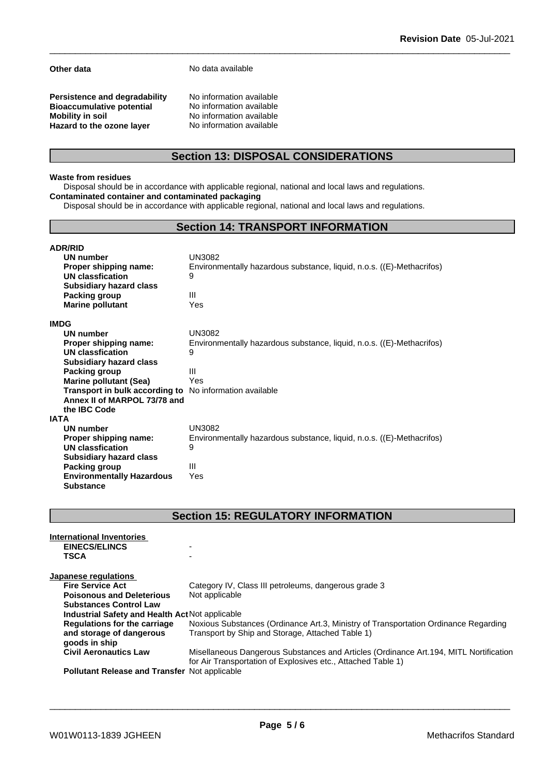**Other data** No data available

**Persistence and degradability** No information available<br>**Bioaccumulative potential** No information available **Bioaccumulative potential<br>Mobility in soil Hazard** to the ozone layer

**No information available**<br>**No information available** 

# **Section 13: DISPOSAL CONSIDERATIONS**

### **Waste from residues**

Disposal should be in accordance with applicable regional, national and local laws and regulations. **Contaminated container and contaminated packaging**

Disposal should be in accordance with applicable regional, national and local laws and regulations.

# **Section 14: TRANSPORT INFORMATION**

| <b>ADR/RID</b>                                          |                                                                       |
|---------------------------------------------------------|-----------------------------------------------------------------------|
| UN number                                               | <b>UN3082</b>                                                         |
| Proper shipping name:                                   | Environmentally hazardous substance, liquid, n.o.s. ((E)-Methacrifos) |
| UN classfication                                        | 9                                                                     |
| <b>Subsidiary hazard class</b>                          |                                                                       |
| Packing group                                           | Ш                                                                     |
| <b>Marine pollutant</b>                                 | Yes                                                                   |
| <b>IMDG</b>                                             |                                                                       |
| UN number                                               | UN3082                                                                |
| Proper shipping name:                                   | Environmentally hazardous substance, liquid, n.o.s. ((E)-Methacrifos) |
| UN classfication                                        | 9                                                                     |
| <b>Subsidiary hazard class</b>                          |                                                                       |
| Packing group                                           | Ш                                                                     |
| <b>Marine pollutant (Sea)</b>                           | Yes                                                                   |
| Transport in bulk according to No information available |                                                                       |
| Annex II of MARPOL 73/78 and                            |                                                                       |
| the IBC Code                                            |                                                                       |
| IATA                                                    |                                                                       |
| UN number                                               | <b>UN3082</b>                                                         |
| Proper shipping name:                                   | Environmentally hazardous substance, liquid, n.o.s. ((E)-Methacrifos) |
| UN classfication                                        | 9                                                                     |
| <b>Subsidiary hazard class</b>                          |                                                                       |
| Packing group                                           | Ш                                                                     |
| <b>Environmentally Hazardous</b>                        | Yes                                                                   |
| <b>Substance</b>                                        |                                                                       |

# **Section 15: REGULATORY INFORMATION**

| International Inventories<br><b>EINECS/ELINCS</b><br><b>TSCA</b> | -                                                                                                                                                      |
|------------------------------------------------------------------|--------------------------------------------------------------------------------------------------------------------------------------------------------|
| Japanese regulations                                             |                                                                                                                                                        |
| <b>Fire Service Act</b>                                          | Category IV, Class III petroleums, dangerous grade 3                                                                                                   |
| <b>Poisonous and Deleterious</b>                                 | Not applicable                                                                                                                                         |
| <b>Substances Control Law</b>                                    |                                                                                                                                                        |
| Industrial Safety and Health Act Not applicable                  |                                                                                                                                                        |
| Regulations for the carriage                                     | Noxious Substances (Ordinance Art.3, Ministry of Transportation Ordinance Regarding                                                                    |
| and storage of dangerous                                         | Transport by Ship and Storage, Attached Table 1)                                                                                                       |
| goods in ship                                                    |                                                                                                                                                        |
| <b>Civil Aeronautics Law</b>                                     | Misellaneous Dangerous Substances and Articles (Ordinance Art. 194, MITL Nortification<br>for Air Transportation of Explosives etc., Attached Table 1) |
| <b>Pollutant Release and Transfer Not applicable</b>             |                                                                                                                                                        |